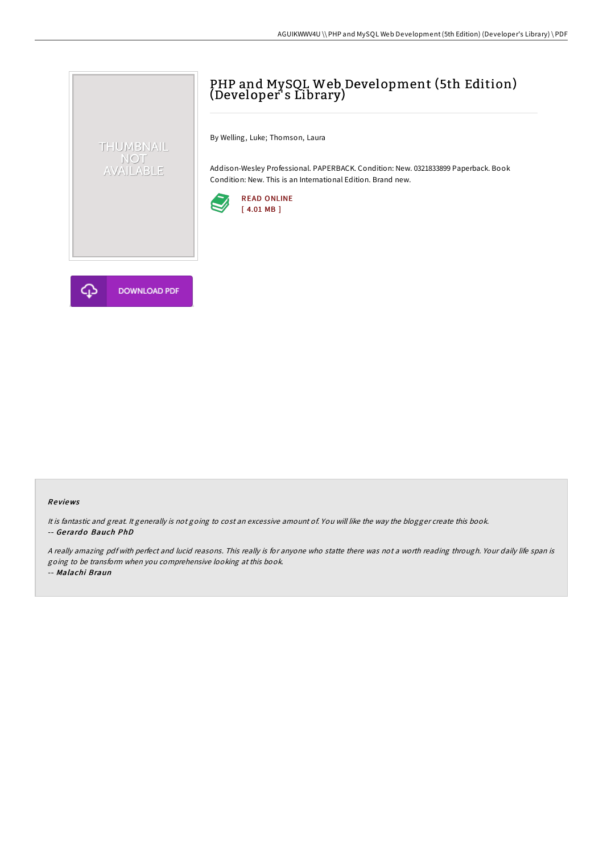

By Welling, Luke; Thomson, Laura

Addison-Wesley Professional. PAPERBACK. Condition: New. 0321833899 Paperback. Book Condition: New. This is an International Edition. Brand new.





THUMBNAIL NOT<br>AVAILABLE

## Re views

It is fantastic and great. It generally is not going to cost an excessive amount of. You will like the way the blogger create this book. -- Ge rard o Bauch PhD

<sup>A</sup> really amazing pdf with perfect and lucid reasons. This really is for anyone who statte there was not <sup>a</sup> worth reading through. Your daily life span is going to be transform when you comprehensive looking at this book. -- Malachi Braun